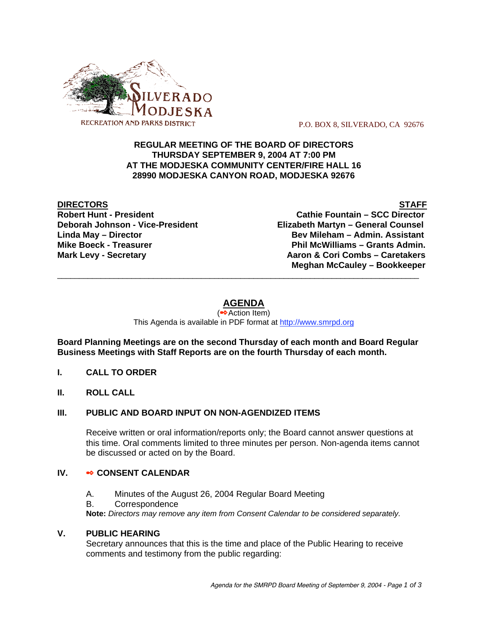

P.O. BOX 8, SILVERADO, CA 92676

### **REGULAR MEETING OF THE BOARD OF DIRECTORS THURSDAY SEPTEMBER 9, 2004 AT 7:00 PM AT THE MODJESKA COMMUNITY CENTER/FIRE HALL 16 28990 MODJESKA CANYON ROAD, MODJESKA 92676**

**DIRECTORS** STAFF

**Robert Hunt - President Cathie Fountain – SCC Director Deborah Johnson - Vice-President Elizabeth Martyn – General Counsel Linda May – Director Bev Mileham – Admin. Assistant Mike Boeck - Treasurer Phil McWilliams – Grants Admin. Mark Levy - Secretary Combs – Caretakers** Aaron & Cori Combs – Caretakers  **Meghan McCauley – Bookkeeper** \_\_\_\_\_\_\_\_\_\_\_\_\_\_\_\_\_\_\_\_\_\_\_\_\_\_\_\_\_\_\_\_\_\_\_\_\_\_\_\_\_\_\_\_\_\_\_\_\_\_\_\_\_\_\_\_\_\_\_\_\_\_\_\_\_\_\_\_\_\_\_\_\_\_\_\_\_\_\_\_\_\_\_

# **AGENDA**

(<sup>●◆</sup>Action Item) This Agenda is available in PDF format at http://www.smrpd.org

**Board Planning Meetings are on the second Thursday of each month and Board Regular Business Meetings with Staff Reports are on the fourth Thursday of each month.**

- **I. CALL TO ORDER**
- **II. ROLL CALL**

#### **III. PUBLIC AND BOARD INPUT ON NON-AGENDIZED ITEMS**

Receive written or oral information/reports only; the Board cannot answer questions at this time. Oral comments limited to three minutes per person. Non-agenda items cannot be discussed or acted on by the Board.

### **IV. • CONSENT CALENDAR**

- A. Minutes of the August 26, 2004 Regular Board Meeting
- B. Correspondence

**Note:** *Directors may remove any item from Consent Calendar to be considered separately.*

#### **V. PUBLIC HEARING**

Secretary announces that this is the time and place of the Public Hearing to receive comments and testimony from the public regarding: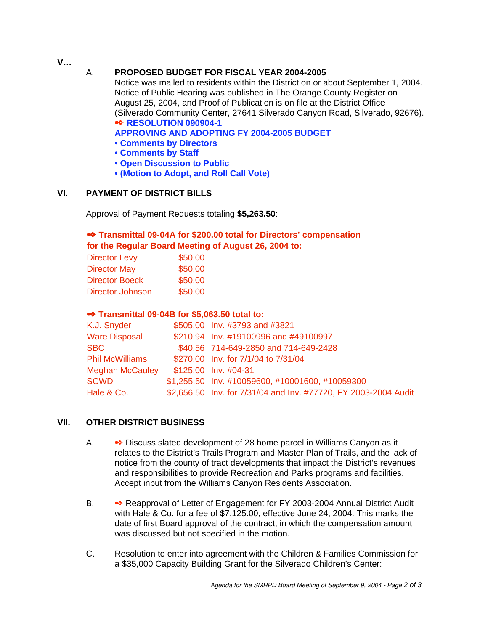**V…**

# A. **PROPOSED BUDGET FOR FISCAL YEAR 2004-2005**

Notice was mailed to residents within the District on or about September 1, 2004. Notice of Public Hearing was published in The Orange County Register on August 25, 2004, and Proof of Publication is on file at the District Office (Silverado Community Center, 27641 Silverado Canyon Road, Silverado, 92676). **RESOLUTION 090904-1**

**APPROVING AND ADOPTING FY 2004-2005 BUDGET**

- **Comments by Directors**
- **Comments by Staff**
- **Open Discussion to Public**
- **(Motion to Adopt, and Roll Call Vote)**

# **VI. PAYMENT OF DISTRICT BILLS**

Approval of Payment Requests totaling **\$5,263.50**:

# **Transmittal 09-04A for \$200.00 total for Directors' compensation for the Regular Board Meeting of August 26, 2004 to:**

|                       | <b>101 the Regular Doard Meeting OF A</b> |
|-----------------------|-------------------------------------------|
| <b>Director Levy</b>  | \$50.00                                   |
| <b>Director May</b>   | \$50.00                                   |
| <b>Director Boeck</b> | \$50.00                                   |

# Director Johnson \$50.00

## **•• Transmittal 09-04B for \$5,063.50 total to:**

| K.J. Snyder            | \$505.00 Inv. #3793 and #3821                                   |
|------------------------|-----------------------------------------------------------------|
| <b>Ware Disposal</b>   | \$210.94 Inv. #19100996 and #49100997                           |
| <b>SBC</b>             | \$40.56 714-649-2850 and 714-649-2428                           |
| <b>Phil McWilliams</b> | \$270.00 Inv. for 7/1/04 to 7/31/04                             |
| <b>Meghan McCauley</b> | \$125.00 Inv. #04-31                                            |
| <b>SCWD</b>            | \$1,255.50 Inv. #10059600, #10001600, #10059300                 |
| Hale & Co.             | \$2,656.50 Inv. for 7/31/04 and Inv. #77720, FY 2003-2004 Audit |
|                        |                                                                 |

## **VII. OTHER DISTRICT BUSINESS**

- A. Discuss slated development of 28 home parcel in Williams Canyon as it relates to the District's Trails Program and Master Plan of Trails, and the lack of notice from the county of tract developments that impact the District's revenues and responsibilities to provide Recreation and Parks programs and facilities. Accept input from the Williams Canyon Residents Association.
- B. Reapproval of Letter of Engagement for FY 2003-2004 Annual District Audit with Hale & Co. for a fee of \$7,125.00, effective June 24, 2004. This marks the date of first Board approval of the contract, in which the compensation amount was discussed but not specified in the motion.
- C. Resolution to enter into agreement with the Children & Families Commission for a \$35,000 Capacity Building Grant for the Silverado Children's Center: